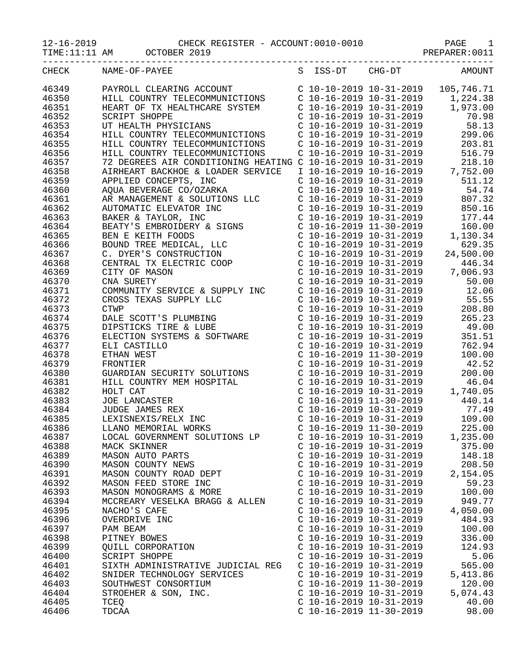|  | $-16 - 2019$ |  |  |
|--|--------------|--|--|
|  |              |  |  |

|       |                      | TIME:11:11 AM OCTOBER 2019                                                                                                                                                                                                                     |                                                    |                                                                                                                                                                                                                                                                                                                                                                  |
|-------|----------------------|------------------------------------------------------------------------------------------------------------------------------------------------------------------------------------------------------------------------------------------------|----------------------------------------------------|------------------------------------------------------------------------------------------------------------------------------------------------------------------------------------------------------------------------------------------------------------------------------------------------------------------------------------------------------------------|
| CHECK | NAME-OF-PAYEE        | S ISS-DT CHG-DT                                                                                                                                                                                                                                |                                                    | <b>AMOUNT</b>                                                                                                                                                                                                                                                                                                                                                    |
| 46349 |                      | PAYROLL CLEARING ACCOUNT<br>HILL COUNTRY TELECOMMUNICTIONS<br>HEART OF TX HEALTHCARE SYSTEM<br>C 10-16-2019 10-31-2019 1,2019 1,973.00                                                                                                         |                                                    |                                                                                                                                                                                                                                                                                                                                                                  |
| 46350 |                      |                                                                                                                                                                                                                                                |                                                    |                                                                                                                                                                                                                                                                                                                                                                  |
| 46351 |                      |                                                                                                                                                                                                                                                |                                                    |                                                                                                                                                                                                                                                                                                                                                                  |
| 46352 | <b>SCRIPT SHOPPE</b> |                                                                                                                                                                                                                                                | $C$ 10-16-2019 10-31-2019                          | 70.98                                                                                                                                                                                                                                                                                                                                                            |
| 46353 |                      | UT HEALTH PHYSICIANS                                                                                                                                                                                                                           |                                                    | $C$ 10-16-2019 10-31-2019 58.13                                                                                                                                                                                                                                                                                                                                  |
| 46354 |                      | HILL COUNTRY TELECOMMUNICTIONS                                                                                                                                                                                                                 |                                                    |                                                                                                                                                                                                                                                                                                                                                                  |
| 46355 |                      | HILL COUNTRY TELECOMMUNICTIONS                                                                                                                                                                                                                 |                                                    |                                                                                                                                                                                                                                                                                                                                                                  |
| 46356 |                      | HILL COUNTRY TELECOMMUNICTIONS                                                                                                                                                                                                                 |                                                    | C 10-16-2019 10-31-2019 299.06<br>C 10-16-2019 10-31-2019 203.81<br>C 10-16-2019 10-31-2019 516.79                                                                                                                                                                                                                                                               |
| 46357 |                      | 72 DEGREES AIR CONDITIONING HEATING C 10-16-2019 10-31-2019                                                                                                                                                                                    |                                                    | 218.10                                                                                                                                                                                                                                                                                                                                                           |
| 46358 |                      | AIRHEART BACKHOE & LOADER SERVICE                                                                                                                                                                                                              |                                                    | I 10-16-2019 10-16-2019 7,752.00                                                                                                                                                                                                                                                                                                                                 |
| 46359 |                      | APPLIED CONCEPTS, INC                                                                                                                                                                                                                          | $C$ 10-16-2019 10-31-2019                          | 511.12                                                                                                                                                                                                                                                                                                                                                           |
| 46360 |                      |                                                                                                                                                                                                                                                |                                                    |                                                                                                                                                                                                                                                                                                                                                                  |
| 46361 |                      |                                                                                                                                                                                                                                                |                                                    |                                                                                                                                                                                                                                                                                                                                                                  |
| 46362 |                      |                                                                                                                                                                                                                                                |                                                    |                                                                                                                                                                                                                                                                                                                                                                  |
| 46363 |                      |                                                                                                                                                                                                                                                |                                                    |                                                                                                                                                                                                                                                                                                                                                                  |
|       |                      |                                                                                                                                                                                                                                                |                                                    |                                                                                                                                                                                                                                                                                                                                                                  |
| 46364 |                      |                                                                                                                                                                                                                                                |                                                    |                                                                                                                                                                                                                                                                                                                                                                  |
| 46365 |                      |                                                                                                                                                                                                                                                |                                                    |                                                                                                                                                                                                                                                                                                                                                                  |
| 46366 |                      |                                                                                                                                                                                                                                                |                                                    |                                                                                                                                                                                                                                                                                                                                                                  |
| 46367 |                      |                                                                                                                                                                                                                                                |                                                    |                                                                                                                                                                                                                                                                                                                                                                  |
| 46368 |                      |                                                                                                                                                                                                                                                |                                                    |                                                                                                                                                                                                                                                                                                                                                                  |
| 46369 |                      |                                                                                                                                                                                                                                                |                                                    |                                                                                                                                                                                                                                                                                                                                                                  |
| 46370 |                      | APPLIED CONCEPTS, INC<br>AQUA BEVERAGE CO/OZARKA<br>AR MANAGEMENT & SOLUTIONS LLC<br>AR MANAGEMENT & SOLUTIONS LLC<br>AUTOMATIC ELEVATOR INC<br>C 10-16-2019 10-31-2019<br>C 10-16-2019 10-31-2019<br>BAKER & TAYLOR, INC<br>C 10-16-2019 10-3 | $C$ 10-16-2019 10-31-2019                          | 50.00                                                                                                                                                                                                                                                                                                                                                            |
| 46371 |                      | COMMUNITY SERVICE & SUPPLY INC<br>CROSS TEXAS SUPPLY LLC<br>C 10-16-2019 10-31-2019<br>C 10-16-2019 10-31-2019<br>C 10-16-2019 10-31-2019                                                                                                      |                                                    | 12.06                                                                                                                                                                                                                                                                                                                                                            |
| 46372 |                      |                                                                                                                                                                                                                                                |                                                    | 55.55                                                                                                                                                                                                                                                                                                                                                            |
| 46373 |                      |                                                                                                                                                                                                                                                |                                                    | 208.80                                                                                                                                                                                                                                                                                                                                                           |
| 46374 |                      |                                                                                                                                                                                                                                                | $C$ 10-16-2019 10-31-2019                          | 265.23                                                                                                                                                                                                                                                                                                                                                           |
| 46375 |                      | CANE SCOTT'S PLUMBING<br>DIPSTICKS TIRE & LUBE<br>ELECTION SYSTEMS & SOFTWARE                                                                                                                                                                  | C 10-16-2019 10-31-2019                            | 49.00                                                                                                                                                                                                                                                                                                                                                            |
| 46376 |                      |                                                                                                                                                                                                                                                | C 10-16-2019 10-31-2019                            | 351.51                                                                                                                                                                                                                                                                                                                                                           |
| 46377 | ELI CASTILLO         |                                                                                                                                                                                                                                                | C 10-16-2019 10-31-2019<br>C 10-16-2019 11-30-2019 | 762.94                                                                                                                                                                                                                                                                                                                                                           |
| 46378 | ETHAN WEST           |                                                                                                                                                                                                                                                |                                                    | 100.00                                                                                                                                                                                                                                                                                                                                                           |
| 46379 | FRONTIER             |                                                                                                                                                                                                                                                | $C$ 10-16-2019 10-31-2019                          | 42.52                                                                                                                                                                                                                                                                                                                                                            |
| 46380 |                      | GUARDIAN SECURITY SOLUTIONS                                                                                                                                                                                                                    | C 10-16-2019 10-31-2019                            | 200.00                                                                                                                                                                                                                                                                                                                                                           |
| 46381 |                      | HILL COUNTRY MEM HOSPITAL                                                                                                                                                                                                                      |                                                    |                                                                                                                                                                                                                                                                                                                                                                  |
| 46382 | HOLT CAT             |                                                                                                                                                                                                                                                |                                                    | $\begin{array}{cccc} \texttt{C} & 10\texttt{-}16\texttt{-}2019 & 10\texttt{-}31\texttt{-}2019 & 46.04 \\ \texttt{C} & 10\texttt{-}16\texttt{-}2019 & 10\texttt{-}31\texttt{-}2019 & 1,740.05 \\ \texttt{C} & 10\texttt{-}16\texttt{-}2019 & 11\texttt{-}30\texttt{-}2019 & 440.14 \\ \texttt{C} & 10\texttt{-}16\texttt{-}2019 & 10\texttt{-}31\texttt{-}2019 &$ |
| 46383 | JOE LANCASTER        |                                                                                                                                                                                                                                                |                                                    |                                                                                                                                                                                                                                                                                                                                                                  |
| 46384 |                      | JUDGE JAMES REX                                                                                                                                                                                                                                |                                                    |                                                                                                                                                                                                                                                                                                                                                                  |
| 46385 |                      | LEXISNEXIS/RELX INC                                                                                                                                                                                                                            | $C$ 10-16-2019 10-31-2019                          | 109.00                                                                                                                                                                                                                                                                                                                                                           |
| 46386 |                      | LLANO MEMORIAL WORKS                                                                                                                                                                                                                           | C $10-16-2019$ $11-30-2019$                        | 225.00                                                                                                                                                                                                                                                                                                                                                           |
| 46387 |                      | LOCAL GOVERNMENT SOLUTIONS LP                                                                                                                                                                                                                  | $C$ 10-16-2019 10-31-2019                          | 1,235.00                                                                                                                                                                                                                                                                                                                                                         |
| 46388 | MACK SKINNER         |                                                                                                                                                                                                                                                | $C$ 10-16-2019 10-31-2019                          | 375.00                                                                                                                                                                                                                                                                                                                                                           |
| 46389 |                      | MASON AUTO PARTS                                                                                                                                                                                                                               | $C$ 10-16-2019 10-31-2019                          | 148.18                                                                                                                                                                                                                                                                                                                                                           |
| 46390 |                      | MASON COUNTY NEWS                                                                                                                                                                                                                              | $C$ 10-16-2019 10-31-2019                          | 208.50                                                                                                                                                                                                                                                                                                                                                           |
| 46391 |                      | MASON COUNTY ROAD DEPT                                                                                                                                                                                                                         | $C$ 10-16-2019 10-31-2019                          | 2,154.05                                                                                                                                                                                                                                                                                                                                                         |
| 46392 |                      | MASON FEED STORE INC                                                                                                                                                                                                                           | $C$ 10-16-2019 10-31-2019                          | 59.23                                                                                                                                                                                                                                                                                                                                                            |
| 46393 |                      | MASON MONOGRAMS & MORE                                                                                                                                                                                                                         | $C$ 10-16-2019 10-31-2019                          | 100.00                                                                                                                                                                                                                                                                                                                                                           |
| 46394 |                      | MCCREARY VESELKA BRAGG & ALLEN                                                                                                                                                                                                                 | $C$ 10-16-2019 10-31-2019                          | 949.77                                                                                                                                                                                                                                                                                                                                                           |
| 46395 | NACHO'S CAFE         |                                                                                                                                                                                                                                                | $C$ 10-16-2019 10-31-2019                          | 4,050.00                                                                                                                                                                                                                                                                                                                                                         |
| 46396 | OVERDRIVE INC        |                                                                                                                                                                                                                                                | $C$ 10-16-2019 10-31-2019                          | 484.93                                                                                                                                                                                                                                                                                                                                                           |
| 46397 | PAM BEAM             |                                                                                                                                                                                                                                                | $C$ 10-16-2019 10-31-2019                          | 100.00                                                                                                                                                                                                                                                                                                                                                           |
| 46398 | PITNEY BOWES         |                                                                                                                                                                                                                                                | $C$ 10-16-2019 10-31-2019                          | 336.00                                                                                                                                                                                                                                                                                                                                                           |
| 46399 |                      | <b>OUILL CORPORATION</b>                                                                                                                                                                                                                       | $C$ 10-16-2019 10-31-2019                          | 124.93                                                                                                                                                                                                                                                                                                                                                           |
| 46400 | SCRIPT SHOPPE        |                                                                                                                                                                                                                                                | $C$ 10-16-2019 10-31-2019                          | 5.06                                                                                                                                                                                                                                                                                                                                                             |
|       |                      |                                                                                                                                                                                                                                                |                                                    |                                                                                                                                                                                                                                                                                                                                                                  |
| 46401 |                      | SIXTH ADMINISTRATIVE JUDICIAL REG                                                                                                                                                                                                              | $C$ 10-16-2019 10-31-2019                          | 565.00                                                                                                                                                                                                                                                                                                                                                           |
| 46402 |                      | SNIDER TECHNOLOGY SERVICES                                                                                                                                                                                                                     | $C$ 10-16-2019 10-31-2019                          | 5,413.86                                                                                                                                                                                                                                                                                                                                                         |
| 46403 |                      | SOUTHWEST CONSORTIUM                                                                                                                                                                                                                           | $C$ 10-16-2019 11-30-2019                          | 120.00                                                                                                                                                                                                                                                                                                                                                           |
| 46404 |                      | STROEHER & SON, INC.                                                                                                                                                                                                                           | $C$ 10-16-2019 10-31-2019                          | 5,074.43                                                                                                                                                                                                                                                                                                                                                         |
| 46405 | TCEQ                 |                                                                                                                                                                                                                                                | $C$ 10-16-2019 10-31-2019                          | 40.00                                                                                                                                                                                                                                                                                                                                                            |
| 46406 | TDCAA                |                                                                                                                                                                                                                                                | $C$ 10-16-2019 11-30-2019                          | 98.00                                                                                                                                                                                                                                                                                                                                                            |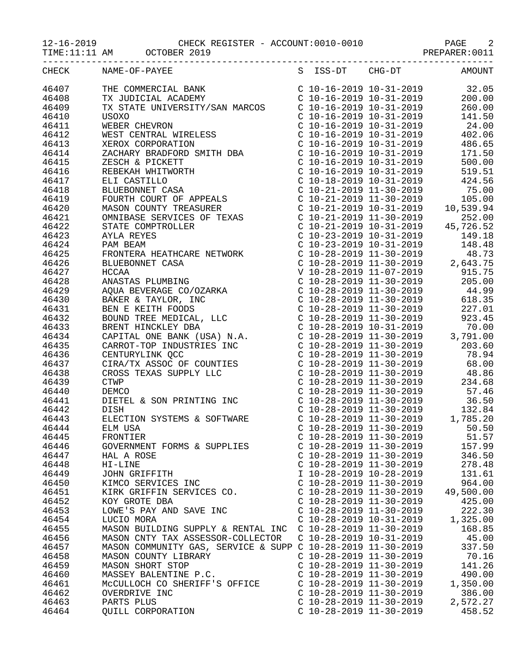|       | TIME:11:11 AM OCTOBER 2019                                                                                                                                                                                                                                      |                                                                                                                                                                                                        |                                                                                                                                                                                                                                                                                                                                                                  |
|-------|-----------------------------------------------------------------------------------------------------------------------------------------------------------------------------------------------------------------------------------------------------------------|--------------------------------------------------------------------------------------------------------------------------------------------------------------------------------------------------------|------------------------------------------------------------------------------------------------------------------------------------------------------------------------------------------------------------------------------------------------------------------------------------------------------------------------------------------------------------------|
| CHECK |                                                                                                                                                                                                                                                                 |                                                                                                                                                                                                        |                                                                                                                                                                                                                                                                                                                                                                  |
| 46407 | THE COMMERCIAL BANK<br>TX JUDICIAL ACADEMY                                                                                                                                                                                                                      |                                                                                                                                                                                                        | $\left. \begin{array}{llllll} \mbox{C} & 10\,\text{--}\,16\,\text{--}\,2019 & 10\,\text{--}\,31\,\text{--}\,2019 & & 32\,\text{.}\,05 \\ \mbox{C} & 10\,\text{--}\,16\,\text{--}\,2019 & 10\,\text{--}\,31\,\text{--}\,2019 & & 200\,\text{-.}\,00 \\ \mbox{C} & 10\,\text{--}\,16\,\text{--}\,2019 & 10\,\text{--}\,31\,\text{--}\,2019 & & 260\,\text{-.}\,00$ |
| 46408 |                                                                                                                                                                                                                                                                 |                                                                                                                                                                                                        |                                                                                                                                                                                                                                                                                                                                                                  |
| 46409 | TX STATE UNIVERSITY/SAN MARCOS                                                                                                                                                                                                                                  |                                                                                                                                                                                                        |                                                                                                                                                                                                                                                                                                                                                                  |
| 46410 |                                                                                                                                                                                                                                                                 | $C$ 10-16-2019 10-31-2019                                                                                                                                                                              | 141.50                                                                                                                                                                                                                                                                                                                                                           |
| 46411 |                                                                                                                                                                                                                                                                 |                                                                                                                                                                                                        | $C$ 10-16-2019 10-31-2019 24.00                                                                                                                                                                                                                                                                                                                                  |
| 46412 |                                                                                                                                                                                                                                                                 | $C$ 10-16-2019 10-31-2019                                                                                                                                                                              | 402.06                                                                                                                                                                                                                                                                                                                                                           |
| 46413 |                                                                                                                                                                                                                                                                 |                                                                                                                                                                                                        | 486.65                                                                                                                                                                                                                                                                                                                                                           |
| 46414 |                                                                                                                                                                                                                                                                 | C 10-16-2019 10-31-2019<br>C 10-16-2019 10-31-2019                                                                                                                                                     | 171.50                                                                                                                                                                                                                                                                                                                                                           |
| 46415 |                                                                                                                                                                                                                                                                 | C 10-16-2019 10-31-2019                                                                                                                                                                                | 500.00                                                                                                                                                                                                                                                                                                                                                           |
| 46416 |                                                                                                                                                                                                                                                                 | C 10-16-2019 10-31-2019                                                                                                                                                                                | 519.51                                                                                                                                                                                                                                                                                                                                                           |
| 46417 | TA STATE UNIVERSITY/SAN MARCOS<br>USOXO<br>WEBER CHEVRON<br>WEST CENTRAL WIRELESS<br>XEROX CORPORATION<br>ZACHARY BRADFORD SMITH DBA<br>ZESCH & PICKETT<br>REBEKAH WHITWORTH<br>ELI CASTILLO<br>BLUEBONNET CASA<br>FOURTH COURT OF APPEALS<br>MASON COUNTY TREA | C 10-18-2019 10-31-2019                                                                                                                                                                                | 424.56                                                                                                                                                                                                                                                                                                                                                           |
| 46418 |                                                                                                                                                                                                                                                                 |                                                                                                                                                                                                        | 75.00                                                                                                                                                                                                                                                                                                                                                            |
| 46419 |                                                                                                                                                                                                                                                                 | C 10-21-2019 11-30-2019<br>C 10-21-2019 11-30-2019                                                                                                                                                     | 105.00                                                                                                                                                                                                                                                                                                                                                           |
| 46420 |                                                                                                                                                                                                                                                                 | $C$ 10-21-2019 10-31-2019                                                                                                                                                                              | 10,539.94                                                                                                                                                                                                                                                                                                                                                        |
| 46421 |                                                                                                                                                                                                                                                                 | $C$ 10-21-2019 11-30-2019                                                                                                                                                                              | 252.00                                                                                                                                                                                                                                                                                                                                                           |
| 46422 |                                                                                                                                                                                                                                                                 | C 10-21-2019 10-31-2019                                                                                                                                                                                | 45,726.52                                                                                                                                                                                                                                                                                                                                                        |
| 46423 |                                                                                                                                                                                                                                                                 | $C$ 10-23-2019 10-31-2019                                                                                                                                                                              | 149.18                                                                                                                                                                                                                                                                                                                                                           |
| 46424 |                                                                                                                                                                                                                                                                 |                                                                                                                                                                                                        | 148.48                                                                                                                                                                                                                                                                                                                                                           |
| 46425 |                                                                                                                                                                                                                                                                 | C 10-23-2019 10-31-2019<br>C 10-28-2019 11-30-2019                                                                                                                                                     | 48.73                                                                                                                                                                                                                                                                                                                                                            |
| 46426 |                                                                                                                                                                                                                                                                 |                                                                                                                                                                                                        | $C$ 10-28-2019 11-30-2019 2,643.75                                                                                                                                                                                                                                                                                                                               |
| 46427 |                                                                                                                                                                                                                                                                 |                                                                                                                                                                                                        | V 10-28-2019 11-07-2019 915.75                                                                                                                                                                                                                                                                                                                                   |
| 46428 |                                                                                                                                                                                                                                                                 | C 10-28-2019 11-30-2019                                                                                                                                                                                | 205.00                                                                                                                                                                                                                                                                                                                                                           |
| 46429 |                                                                                                                                                                                                                                                                 |                                                                                                                                                                                                        | 44.99                                                                                                                                                                                                                                                                                                                                                            |
| 46430 |                                                                                                                                                                                                                                                                 | C 10-28-2019 11-30-2019<br>C 10-28-2019 11-30-2019<br>C 10-28-2019 11-30-2019                                                                                                                          | 618.35                                                                                                                                                                                                                                                                                                                                                           |
| 46431 |                                                                                                                                                                                                                                                                 |                                                                                                                                                                                                        | 227.01                                                                                                                                                                                                                                                                                                                                                           |
| 46432 |                                                                                                                                                                                                                                                                 | C 10-28-2019 11-30-2019                                                                                                                                                                                | 923.45                                                                                                                                                                                                                                                                                                                                                           |
| 46433 |                                                                                                                                                                                                                                                                 |                                                                                                                                                                                                        | 70.00                                                                                                                                                                                                                                                                                                                                                            |
| 46434 | PAM BEAM<br>PRONTERA HEATHCARE NETWORK<br>BLUEBONNET CASA<br>HCCAA<br>ANASTAS PLUMBING<br>AQUA BEVERAGE CO/OZARKA<br>BAKER & TAYLOR, INC<br>BEN E KEITH FOODS<br>BOUND TREE MEDICAL, LLC<br>BRENT HINCKLEY DBA<br>CAPRTT HINCKLEY DBA<br>CARROT-TOP INDUSTRIES  | $\begin{array}{llll} \text{C} & 10-28-2019 & 10-31-2019 \\ \text{C} & 10-28-2019 & 11-30-2019 \\ \text{C} & 10-28-2019 & 11-30-2019 \\ \text{C} & 10-28-2019 & 11-30-2019 \end{array} \qquad \text{3}$ | 3,791.00                                                                                                                                                                                                                                                                                                                                                         |
| 46435 |                                                                                                                                                                                                                                                                 |                                                                                                                                                                                                        | 203.60                                                                                                                                                                                                                                                                                                                                                           |
| 46436 |                                                                                                                                                                                                                                                                 |                                                                                                                                                                                                        | 78.94                                                                                                                                                                                                                                                                                                                                                            |
| 46437 |                                                                                                                                                                                                                                                                 | $C$ 10-28-2019 11-30-2019                                                                                                                                                                              | 68.00                                                                                                                                                                                                                                                                                                                                                            |
| 46438 |                                                                                                                                                                                                                                                                 |                                                                                                                                                                                                        | $C$ 10-28-2019 11-30-2019 48.86                                                                                                                                                                                                                                                                                                                                  |
| 46439 |                                                                                                                                                                                                                                                                 | $C$ 10-28-2019 11-30-2019                                                                                                                                                                              | 234.68                                                                                                                                                                                                                                                                                                                                                           |
| 46440 |                                                                                                                                                                                                                                                                 |                                                                                                                                                                                                        |                                                                                                                                                                                                                                                                                                                                                                  |
| 46441 |                                                                                                                                                                                                                                                                 |                                                                                                                                                                                                        |                                                                                                                                                                                                                                                                                                                                                                  |
| 46442 | DISH                                                                                                                                                                                                                                                            |                                                                                                                                                                                                        |                                                                                                                                                                                                                                                                                                                                                                  |
| 46443 | ELECTION SYSTEMS & SOFTWARE                                                                                                                                                                                                                                     | $C$ 10-28-2019 11-30-2019                                                                                                                                                                              | 1,785.20                                                                                                                                                                                                                                                                                                                                                         |
| 46444 | ELM USA                                                                                                                                                                                                                                                         | C $10-28-2019$ $11-30-2019$                                                                                                                                                                            | 50.50                                                                                                                                                                                                                                                                                                                                                            |
| 46445 | FRONTIER                                                                                                                                                                                                                                                        | $C$ 10-28-2019 11-30-2019                                                                                                                                                                              | 51.57                                                                                                                                                                                                                                                                                                                                                            |
| 46446 | GOVERNMENT FORMS & SUPPLIES                                                                                                                                                                                                                                     | $C$ 10-28-2019 11-30-2019                                                                                                                                                                              | 157.99                                                                                                                                                                                                                                                                                                                                                           |
| 46447 | HAL A ROSE                                                                                                                                                                                                                                                      | $C$ 10-28-2019 11-30-2019                                                                                                                                                                              | 346.50                                                                                                                                                                                                                                                                                                                                                           |
| 46448 | HI-LINE                                                                                                                                                                                                                                                         | $C$ 10-28-2019 11-30-2019                                                                                                                                                                              | 278.48                                                                                                                                                                                                                                                                                                                                                           |
| 46449 | JOHN GRIFFITH                                                                                                                                                                                                                                                   | I 10-28-2019 10-28-2019                                                                                                                                                                                | 131.61                                                                                                                                                                                                                                                                                                                                                           |
| 46450 | KIMCO SERVICES INC                                                                                                                                                                                                                                              | $C$ 10-28-2019 11-30-2019                                                                                                                                                                              | 964.00                                                                                                                                                                                                                                                                                                                                                           |
| 46451 | KIRK GRIFFIN SERVICES CO.                                                                                                                                                                                                                                       | $C$ 10-28-2019 11-30-2019                                                                                                                                                                              | 49,500.00                                                                                                                                                                                                                                                                                                                                                        |
| 46452 | KOY GROTE DBA                                                                                                                                                                                                                                                   | $C$ 10-28-2019 11-30-2019                                                                                                                                                                              | 425.00                                                                                                                                                                                                                                                                                                                                                           |
| 46453 | LOWE'S PAY AND SAVE INC                                                                                                                                                                                                                                         | $C$ 10-28-2019 11-30-2019                                                                                                                                                                              | 222.30                                                                                                                                                                                                                                                                                                                                                           |
| 46454 | LUCIO MORA                                                                                                                                                                                                                                                      | $C$ 10-28-2019 10-31-2019                                                                                                                                                                              | 1,325.00                                                                                                                                                                                                                                                                                                                                                         |
| 46455 | MASON BUILDING SUPPLY & RENTAL INC C 10-28-2019 11-30-2019                                                                                                                                                                                                      |                                                                                                                                                                                                        | 168.85                                                                                                                                                                                                                                                                                                                                                           |
| 46456 | MASON CNTY TAX ASSESSOR-COLLECTOR                                                                                                                                                                                                                               | C 10-28-2019 10-31-2019                                                                                                                                                                                | 45.00                                                                                                                                                                                                                                                                                                                                                            |
| 46457 | MASON COMMUNITY GAS, SERVICE & SUPP C 10-28-2019 11-30-2019                                                                                                                                                                                                     |                                                                                                                                                                                                        | 337.50                                                                                                                                                                                                                                                                                                                                                           |
| 46458 | MASON COUNTY LIBRARY                                                                                                                                                                                                                                            | $C$ 10-28-2019 11-30-2019                                                                                                                                                                              | 70.16                                                                                                                                                                                                                                                                                                                                                            |
| 46459 | MASON SHORT STOP                                                                                                                                                                                                                                                | $C$ 10-28-2019 11-30-2019                                                                                                                                                                              | 141.26                                                                                                                                                                                                                                                                                                                                                           |
| 46460 | MASSEY BALENTINE P.C.                                                                                                                                                                                                                                           | $C$ 10-28-2019 11-30-2019                                                                                                                                                                              | 490.00                                                                                                                                                                                                                                                                                                                                                           |
| 46461 | MCCULLOCH CO SHERIFF'S OFFICE                                                                                                                                                                                                                                   | $C$ 10-28-2019 11-30-2019                                                                                                                                                                              | 1,350.00                                                                                                                                                                                                                                                                                                                                                         |
| 46462 | OVERDRIVE INC                                                                                                                                                                                                                                                   | $C$ 10-28-2019 11-30-2019                                                                                                                                                                              | 386.00                                                                                                                                                                                                                                                                                                                                                           |
| 46463 | PARTS PLUS                                                                                                                                                                                                                                                      | $C$ 10-28-2019 11-30-2019                                                                                                                                                                              | 2,572.27                                                                                                                                                                                                                                                                                                                                                         |
| 46464 | QUILL CORPORATION                                                                                                                                                                                                                                               | $C$ 10-28-2019 11-30-2019                                                                                                                                                                              | 458.52                                                                                                                                                                                                                                                                                                                                                           |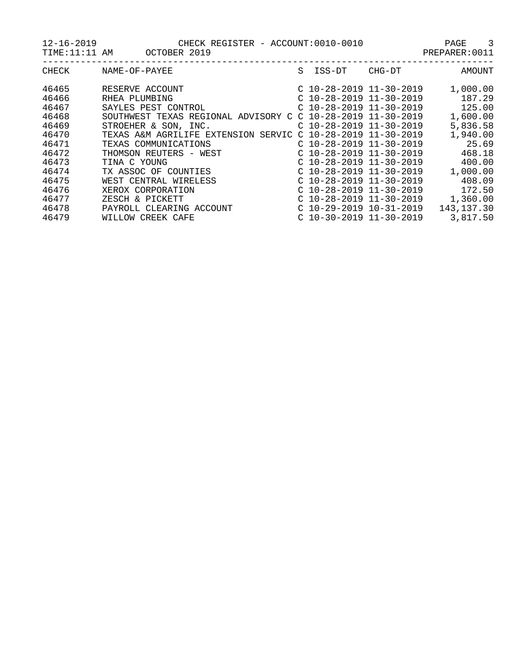12-16-2019 CHECK REGISTER - ACCOUNT:0010-0010 PAGE 3

TIME:11:11 AM OCTOBER 2019 CONSTRAINING PREPARER:0011

| CHECK | NAME-OF-PAYEE                       | S. | ISS-DT                    | CHG-DT | AMOUNT      |
|-------|-------------------------------------|----|---------------------------|--------|-------------|
| 46465 | RESERVE ACCOUNT                     |    | $C$ 10-28-2019 11-30-2019 |        | 1,000.00    |
| 46466 | RHEA PLUMBING                       |    | $C$ 10-28-2019 11-30-2019 |        | 187.29      |
| 46467 | SAYLES PEST CONTROL                 |    | $C$ 10-28-2019 11-30-2019 |        | 125.00      |
| 46468 | SOUTHWEST TEXAS REGIONAL ADVISORY C |    | $C$ 10-28-2019 11-30-2019 |        | 1,600.00    |
| 46469 | STROEHER & SON, INC.                |    | $C$ 10-28-2019 11-30-2019 |        | 5,836.58    |
| 46470 | TEXAS A&M AGRILIFE EXTENSION SERVIC |    | $C$ 10-28-2019 11-30-2019 |        | 1,940.00    |
| 46471 | TEXAS COMMUNICATIONS                |    | $C$ 10-28-2019 11-30-2019 |        | 25.69       |
| 46472 | THOMSON REUTERS - WEST              |    | $C$ 10-28-2019 11-30-2019 |        | 468.18      |
| 46473 | TINA C YOUNG                        |    | $C$ 10-28-2019 11-30-2019 |        | 400.00      |
| 46474 | TX ASSOC OF COUNTIES                |    | $C$ 10-28-2019 11-30-2019 |        | 1,000.00    |
| 46475 | WEST CENTRAL WIRELESS               |    | $C$ 10-28-2019 11-30-2019 |        | 408.09      |
| 46476 | XEROX CORPORATION                   |    | $C$ 10-28-2019 11-30-2019 |        | 172.50      |
| 46477 | ZESCH & PICKETT                     |    | $C$ 10-28-2019 11-30-2019 |        | 1,360.00    |
| 46478 | PAYROLL CLEARING ACCOUNT            |    | $C$ 10-29-2019 10-31-2019 |        | 143, 137.30 |
| 46479 | WILLOW CREEK CAFE                   |    | $C$ 10-30-2019 11-30-2019 |        | 3,817.50    |
|       |                                     |    |                           |        |             |